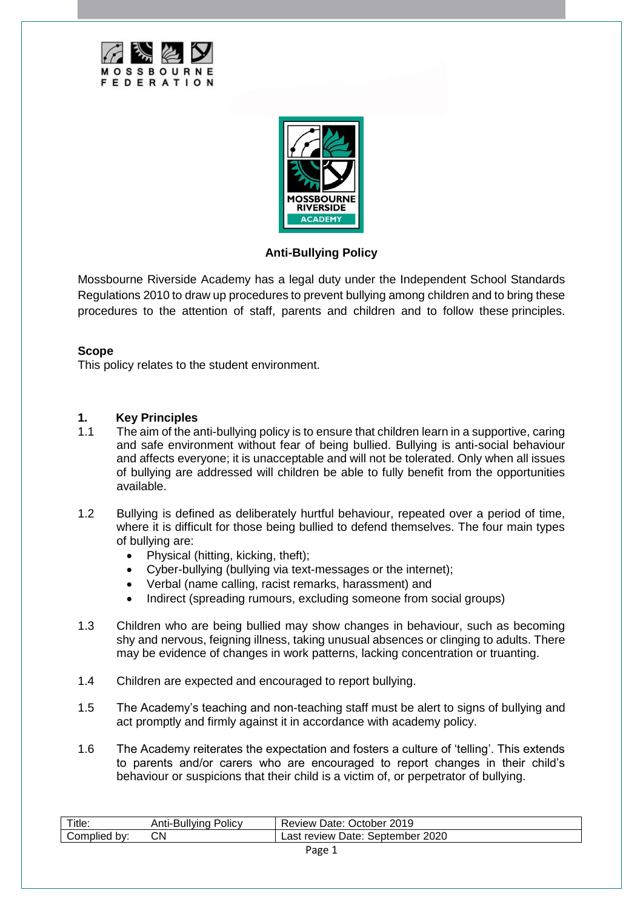



## **Anti-Bullying Policy**

Mossbourne Riverside Academy has a legal duty under the Independent School Standards Regulations 2010 to draw up procedures to prevent bullying among children and to bring these procedures to the attention of staff, parents and children and to follow these principles.

## **Scope**

This policy relates to the student environment.

## **1. Key Principles**

- 1.1 The aim of the anti-bullying policy is to ensure that children learn in a supportive, caring and safe environment without fear of being bullied. Bullying is anti-social behaviour and affects everyone; it is unacceptable and will not be tolerated. Only when all issues of bullying are addressed will children be able to fully benefit from the opportunities available.
- 1.2 Bullying is defined as deliberately hurtful behaviour, repeated over a period of time, where it is difficult for those being bullied to defend themselves. The four main types of bullying are:
	- Physical (hitting, kicking, theft);
	- Cyber-bullying (bullying via text-messages or the internet);
	- Verbal (name calling, racist remarks, harassment) and
	- Indirect (spreading rumours, excluding someone from social groups)
- 1.3 Children who are being bullied may show changes in behaviour, such as becoming shy and nervous, feigning illness, taking unusual absences or clinging to adults. There may be evidence of changes in work patterns, lacking concentration or truanting.
- 1.4 Children are expected and encouraged to report bullying.
- 1.5 The Academy's teaching and non-teaching staff must be alert to signs of bullying and act promptly and firmly against it in accordance with academy policy.
- 1.6 The Academy reiterates the expectation and fosters a culture of 'telling'. This extends to parents and/or carers who are encouraged to report changes in their child's behaviour or suspicions that their child is a victim of, or perpetrator of bullying.

| Title:                | Policy<br>-Bullvind<br>Allu- | 2019<br>Jctober<br>Review<br>⊃ate <sup>∙</sup> |
|-----------------------|------------------------------|------------------------------------------------|
| DV.<br>omrـ<br>nollea | СN                           | 2020<br>.as†<br>September<br>review<br>Date:   |
|                       |                              |                                                |